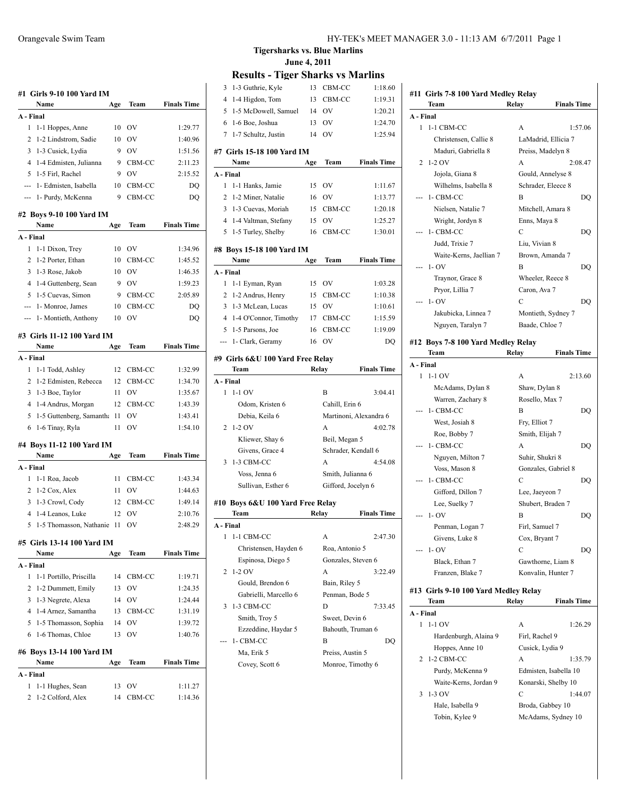| #1 Girls 9-10 100 Yard IM                                             |                                     |          |              |                    |  |  |
|-----------------------------------------------------------------------|-------------------------------------|----------|--------------|--------------------|--|--|
|                                                                       | Name                                | Age      | Team         | <b>Finals Time</b> |  |  |
| A - Final                                                             |                                     |          |              |                    |  |  |
| 1                                                                     | 1-1 Hoppes, Anne                    | 10       | OV           | 1:29.77            |  |  |
| 2                                                                     | 1-2 Lindstrom, Sadie                | 10       | OV           | 1:40.96            |  |  |
| 3                                                                     | 1-3 Cusick, Lydia                   | 9        | OV           | 1:51.56            |  |  |
| 4                                                                     | 1-4 Edmisten, Julianna              | 9        | CBM-CC       | 2:11.23            |  |  |
| 5                                                                     | 1-5 Firl, Rachel                    | 9        | OV           | 2:15.52            |  |  |
| ---                                                                   | 1- Edmisten, Isabella               | 10       | CBM-CC       | DO                 |  |  |
| ---                                                                   | 1- Purdy, McKenna                   | 9        | CBM-CC       | DQ                 |  |  |
| #2 Boys 9-10 100 Yard IM<br>Name<br>Team<br><b>Finals Time</b><br>Age |                                     |          |              |                    |  |  |
| A - Final                                                             |                                     |          |              |                    |  |  |
| 1                                                                     | 1-1 Dixon, Trey                     | 10       | OV           | 1:34.96            |  |  |
| 2                                                                     | 1-2 Porter, Ethan                   | 10       | CBM-CC       | 1:45.52            |  |  |
| 3                                                                     | 1-3 Rose, Jakob                     | 10       | OV           | 1:46.35            |  |  |
| 4                                                                     | 1-4 Guttenberg, Sean                | 9        | OV           | 1:59.23            |  |  |
| 5                                                                     | 1-5 Cuevas, Simon                   | 9        | CBM-CC       | 2:05.89            |  |  |
|                                                                       |                                     |          |              |                    |  |  |
| ---                                                                   | 1- Monroe, James                    | 10       | CBM-CC       | DQ                 |  |  |
| ---                                                                   | 1- Montieth, Anthony                | 10       | OV           | DQ                 |  |  |
|                                                                       | #3 Girls 11-12 100 Yard IM          |          |              |                    |  |  |
|                                                                       | Name                                | Age      | Team         | <b>Finals Time</b> |  |  |
| A - Final                                                             |                                     |          |              |                    |  |  |
| 1                                                                     | 1-1 Todd, Ashley                    | 12       | CBM-CC       | 1:32.99            |  |  |
| 2                                                                     | 1-2 Edmisten, Rebecca               | 12       | CBM-CC       | 1:34.70            |  |  |
| 3                                                                     | 1-3 Boe, Taylor                     | 11       | OV           | 1:35.67            |  |  |
| 4                                                                     | 1-4 Andrus, Morgan                  | 12       | CBM-CC       | 1:43.39            |  |  |
| 5                                                                     | 1-5 Guttenberg, Samantha            | 11       | OV           | 1:43.41            |  |  |
| 6                                                                     | 1-6 Tinay, Ryla                     | 11       | OV           | 1:54.10            |  |  |
|                                                                       | #4 Boys 11-12 100 Yard IM           |          |              |                    |  |  |
|                                                                       | Name                                | Age      | Team         | <b>Finals Time</b> |  |  |
| A - Final                                                             |                                     |          |              |                    |  |  |
| 1                                                                     | 1-1 Roa, Jacob                      | 11       | CBM-CC       | 1:43.34            |  |  |
| 2                                                                     | 1-2 Cox, Alex                       | 11       | OV           | 1:44.63            |  |  |
| 3                                                                     | 1-3 Crowl, Cody                     | 12       | CBM-CC       | 1:49.14            |  |  |
| 4                                                                     | 1-4 Leanos, Luke                    | 12       | OV           | 2:10.76            |  |  |
| 5                                                                     | 1-5 Thomasson, Nathanie             | 11       | OV           | 2:48.29            |  |  |
|                                                                       | #5  Girls 13-14 100 Yard IM<br>Name | Age      | Team         | <b>Finals Time</b> |  |  |
| A - Final                                                             |                                     |          |              |                    |  |  |
| 1                                                                     | 1-1 Portillo, Priscilla             | 14       | CBM-CC       | 1:19.71            |  |  |
| 2                                                                     | 1-2 Dummett, Emily                  | 13       | OV           | 1:24.35            |  |  |
| 3                                                                     | 1-3 Negrete, Alexa                  | 14       | OV           | 1:24.44            |  |  |
|                                                                       |                                     |          |              |                    |  |  |
| 4<br>5                                                                | 1-4 Arnez, Samantha                 | 13<br>14 | CBM-CC<br>OV | 1:31.19            |  |  |
|                                                                       | 1-5 Thomasson, Sophia               |          |              | 1:39.72            |  |  |
| 6                                                                     | 1-6 Thomas, Chloe                   | 13       | OV           | 1:40.76            |  |  |
|                                                                       | #6 Boys 13-14 100 Yard IM           |          |              |                    |  |  |
|                                                                       | Name                                | Age      | Team         | <b>Finals Time</b> |  |  |
| A - Final                                                             |                                     |          |              |                    |  |  |
| 1                                                                     | 1-1 Hughes, Sean                    | 13       | OV           | 1:11.27            |  |  |
| 2                                                                     | 1-2 Colford, Alex                   | 14       | CBM-CC       | 1:14.36            |  |  |

#### **Tigersharks vs. Blue Marlins June 4, 2011**

# **Results - Tiger Sharks vs Marlins**

| 3              |                                  |       | сэццэ - ті <u>р</u> сі энагкэ vэ ічагниэ |                    |  |  |  |  |
|----------------|----------------------------------|-------|------------------------------------------|--------------------|--|--|--|--|
|                | 1-3 Guthrie, Kyle                |       | 13 CBM-CC                                | 1:18.60            |  |  |  |  |
| $\overline{4}$ | 1-4 Higdon, Tom                  | 13    | CBM-CC                                   | 1:19.31            |  |  |  |  |
| 5              | 1-5 McDowell, Samuel             | 14    | <b>OV</b>                                | 1:20.21            |  |  |  |  |
| 6              | 1-6 Boe, Joshua                  | 13    | OV                                       | 1:24.70            |  |  |  |  |
| 7              | 1-7 Schultz, Justin              | 14    | OV                                       | 1:25.94            |  |  |  |  |
|                |                                  |       |                                          |                    |  |  |  |  |
|                | #7 Girls 15-18 100 Yard IM       |       |                                          |                    |  |  |  |  |
|                | Name                             | Age   | Team                                     | <b>Finals Time</b> |  |  |  |  |
| A - Final      |                                  |       |                                          |                    |  |  |  |  |
| 1              | 1-1 Hanks, Jamie                 | 15    | OV                                       | 1:11.67            |  |  |  |  |
| 2              | 1-2 Miner, Natalie               | 16    | <b>OV</b>                                | 1:13.77            |  |  |  |  |
| 3              | 1-3 Cuevas, Moriah               | 15    | CBM-CC                                   | 1:20.18            |  |  |  |  |
|                | 4 1-4 Valtman, Stefany           | 15    | OV                                       | 1:25.27            |  |  |  |  |
|                | 5 1-5 Turley, Shelby             | 16    | CBM-CC                                   | 1:30.01            |  |  |  |  |
|                | #8 Boys 15-18 100 Yard IM        |       |                                          |                    |  |  |  |  |
|                | Name                             | Age   | Team                                     | <b>Finals Time</b> |  |  |  |  |
| A - Final      |                                  |       |                                          |                    |  |  |  |  |
| 1              | 1-1 Eyman, Ryan                  | 15    | OV                                       | 1:03.28            |  |  |  |  |
|                |                                  |       |                                          |                    |  |  |  |  |
| 2              | 1-2 Andrus, Henry                | 15    | CBM-CC                                   | 1:10.38            |  |  |  |  |
| 3              | 1-3 McLean, Lucas                | 15    | OV                                       | 1:10.61            |  |  |  |  |
| $\overline{4}$ | 1-4 O'Connor, Timothy            | 17    | CBM-CC                                   | 1:15.59            |  |  |  |  |
| 5              | 1-5 Parsons, Joe                 | 16    | CBM-CC                                   | 1:19.09            |  |  |  |  |
|                | 1- Clark, Geramy                 | 16    | O <sub>V</sub>                           | DO                 |  |  |  |  |
|                | #9 Girls 6&U 100 Yard Free Relay |       |                                          |                    |  |  |  |  |
|                | Team                             | Relay |                                          | <b>Finals Time</b> |  |  |  |  |
| A - Final      |                                  |       |                                          |                    |  |  |  |  |
| 1              | $1-1$ OV                         |       | B                                        | 3:04.41            |  |  |  |  |
|                | Odom, Kristen 6                  |       | Cahill, Erin 6                           |                    |  |  |  |  |
|                |                                  |       |                                          |                    |  |  |  |  |
|                |                                  |       |                                          |                    |  |  |  |  |
|                | Debia, Keila 6                   |       | Martinoni, Alexandra 6                   |                    |  |  |  |  |
| 2              | $1-2$ OV                         |       | A                                        | 4:02.78            |  |  |  |  |
|                | Kliewer, Shay 6                  |       | Beil, Megan 5                            |                    |  |  |  |  |
|                | Givens, Grace 4                  |       | Schrader, Kendall 6                      |                    |  |  |  |  |
| 3              | 1-3 CBM-CC                       |       | A                                        | 4:54.08            |  |  |  |  |
|                | Voss, Jenna 6                    |       | Smith, Julianna 6                        |                    |  |  |  |  |
|                | Sullivan, Esther 6               |       | Gifford, Jocelyn 6                       |                    |  |  |  |  |
|                | #10 Boys 6&U 100 Yard Free Relay |       |                                          |                    |  |  |  |  |
|                | Team                             | Relay |                                          | <b>Finals Time</b> |  |  |  |  |
|                |                                  |       |                                          |                    |  |  |  |  |
| A - Final<br>1 | 1-1 CBM-CC                       |       | А                                        | 2:47.30            |  |  |  |  |
|                |                                  |       |                                          |                    |  |  |  |  |
|                | Christensen, Hayden 6            |       | Roa, Antonio 5                           |                    |  |  |  |  |
|                | Espinosa, Diego 5                |       | Gonzales, Steven 6                       |                    |  |  |  |  |
| 2              | $1-2$ OV                         |       | A                                        | 3:22.49            |  |  |  |  |
|                | Gould, Brendon 6                 |       | Bain, Riley 5                            |                    |  |  |  |  |
|                | Gabrielli, Marcello 6            |       | Penman, Bode 5                           |                    |  |  |  |  |
| 3              | 1-3 CBM-CC                       |       | D                                        | 7:33.45            |  |  |  |  |
|                | Smith, Troy 5                    |       | Sweet, Devin 6                           |                    |  |  |  |  |
|                | Ezzeddine, Haydar 5              |       | Bahouth, Truman 6                        |                    |  |  |  |  |
|                | 1- CBM-CC                        |       | В                                        | DQ                 |  |  |  |  |
|                | Ma, Erik 5                       |       | Preiss, Austin 5                         |                    |  |  |  |  |
|                | Covey, Scott 6                   |       | Monroe, Timothy 6                        |                    |  |  |  |  |

### **#11 Girls 7-8 100 Yard Medley Relay Team Relay Finals Time A - Final** 1 1-1 CBM-CC A 1:57.06 Christensen, Callie 8 LaMadrid, Ellicia 7 Maduri, Gabriella 8 Preiss, Madelyn 8 2 1-2 OV A 2:08.47 Jojola, Giana 8 Gould, Annelyse 8 Wilhelms, Isabella 8 Schrader, Eleece 8 --- 1- CBM-CC B DQ Nielsen, Natalie 7 Mitchell, Amara 8 Wright, Jordyn 8 Enns, Maya 8 --- 1- CBM-CC C DQ Judd, Trixie 7 Liu, Vivian 8 Waite-Kerns, Jaellian 7 Brown, Amanda 7 --- 1- OV B DQ Traynor, Grace 8 Wheeler, Reece 8 Pryor, Lillia 7 Caron, Ava 7 --- 1- OV C DQ Jakubicka, Linnea 7 Montieth, Sydney 7 Nguyen, Taralyn 7 Baade, Chloe 7 **#12 Boys 7-8 100 Yard Medley Relay Team Relay Finals Time**

| Team<br>A - Final                    | Relay              | <b>Finals Time</b>  |
|--------------------------------------|--------------------|---------------------|
| #13 Girls 9-10 100 Yard Medley Relay |                    |                     |
| Franzen, Blake 7                     | Konvalin, Hunter 7 |                     |
| Black, Ethan 7                       | Gawthorne, Liam 8  |                     |
| $- - 1 - OV$                         | C                  | DO                  |
| Givens, Luke 8                       | Cox, Bryant 7      |                     |
| Penman, Logan 7                      | Firl, Samuel 7     |                     |
| $- - 1 - OV$                         | B                  | DO                  |
| Lee, Suelky 7                        | Shubert, Braden 7  |                     |
| Gifford, Dillon 7                    | Lee, Jaeyeon 7     |                     |
| 1- CBM-CC                            | C                  | DO                  |
| Voss, Mason 8                        |                    | Gonzales, Gabriel 8 |
| Nguyen, Milton 7                     | Suhir, Shukri 8    |                     |
| 1- CBM-CC                            | A                  | DO                  |
| Roe, Bobby 7                         | Smith, Elijah 7    |                     |
| West, Josiah 8                       | Fry, Elliot 7      |                     |
| 1- CBM-CC                            | B                  | DO                  |
| Warren, Zachary 8                    | Rosello, Max 7     |                     |
| McAdams, Dylan 8                     | Shaw, Dylan 8      |                     |
| $1-1$ OV<br>1                        | A                  | 2:13.60             |
| A - Final                            |                    |                     |

|   | - Final               |                       |         |
|---|-----------------------|-----------------------|---------|
|   | $1-1$ OV              | A                     | 1:26.29 |
|   | Hardenburgh, Alaina 9 | Firl, Rachel 9        |         |
|   | Hoppes, Anne 10       | Cusick, Lydia 9       |         |
|   | 2 1-2 CBM-CC          | A                     | 1:35.79 |
|   | Purdy, McKenna 9      | Edmisten, Isabella 10 |         |
|   | Waite-Kerns, Jordan 9 | Konarski, Shelby 10   |         |
| 3 | $1-3$ OV              | C                     | 1:44.07 |
|   | Hale, Isabella 9      | Broda, Gabbey 10      |         |
|   | Tobin, Kylee 9        | McAdams, Sydney 10    |         |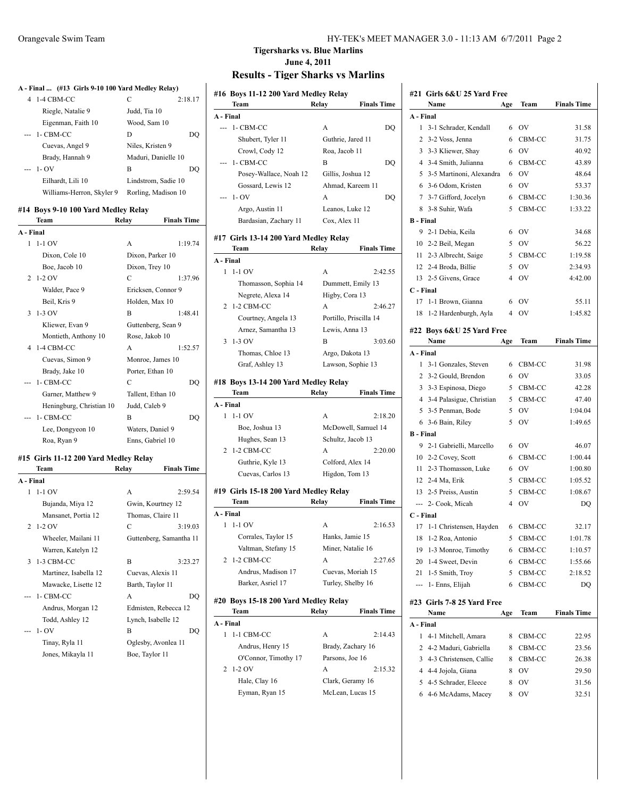|                | A - Final  (#13 Girls 9-10 100 Yard Medley Relay) |                             |    |
|----------------|---------------------------------------------------|-----------------------------|----|
| $\overline{4}$ | 1-4 CBM-CC                                        | C<br>2:18.17                |    |
|                | Riegle, Natalie 9                                 | Judd, Tia 10                |    |
|                | Eigenman, Faith 10                                | Wood, Sam 10                |    |
|                | 1- CBM-CC                                         | D                           | DQ |
|                | Cuevas, Angel 9                                   | Niles, Kristen 9            |    |
|                | Brady, Hannah 9                                   | Maduri, Danielle 10         |    |
|                | $1 - OV$                                          | B                           | DO |
|                | Eilhardt, Lili 10                                 | Lindstrom, Sadie 10         |    |
|                | Williams-Herron, Skyler 9                         | Rorling, Madison 10         |    |
|                |                                                   |                             |    |
|                | #14 Boys 9-10 100 Yard Medley Relay<br>Team       | Relay<br><b>Finals Time</b> |    |
| A - Final      |                                                   |                             |    |
| 1              | $1-1$ OV                                          | A<br>1:19.74                |    |
|                | Dixon, Cole 10                                    | Dixon, Parker 10            |    |
|                | Boe, Jacob 10                                     | Dixon, Trey 10              |    |
| 2              | 1-2 OV                                            | $\overline{C}$<br>1:37.96   |    |
|                | Walder, Pace 9                                    | Ericksen, Connor 9          |    |
|                | Beil, Kris 9                                      | Holden, Max 10              |    |
| 3              | 1-3 OV                                            | B<br>1:48.41                |    |
|                | Kliewer, Evan 9                                   | Guttenberg, Sean 9          |    |
|                | Montieth, Anthony 10                              | Rose, Jakob 10              |    |
| 4              | 1-4 CBM-CC                                        | A<br>1:52.57                |    |
|                | Cuevas, Simon 9                                   | Monroe, James 10            |    |
|                | Brady, Jake 10                                    | Porter, Ethan 10            |    |
|                | 1- CBM-CC                                         | C                           | DQ |
|                | Garner, Matthew 9                                 | Tallent, Ethan 10           |    |
|                | Heningburg, Christian 10                          | Judd, Caleb 9               |    |
|                | 1- CBM-CC                                         | B                           | DQ |
|                | Lee, Dongyeon 10                                  | Waters, Daniel 9            |    |
|                | Roa, Ryan 9                                       | Enns, Gabriel 10            |    |
|                | #15 Girls 11-12 200 Yard Medley Relay             |                             |    |
|                | Team                                              | Relay<br><b>Finals Time</b> |    |
| A - Final      |                                                   |                             |    |
| 1              | $1-1$ OV                                          | 2:59.54<br>A                |    |
|                | Bujanda, Miya 12                                  | Gwin, Kourtney 12           |    |
|                | Mansanet, Portia 12                               | Thomas, Claire 11           |    |
| 2              | $1-2$ OV                                          | C<br>3:19.03                |    |
|                | Wheeler, Mailani 11                               | Guttenberg, Samantha 11     |    |
|                | Warren, Katelyn 12                                |                             |    |

3 1-3 CBM-CC B 3:23.27 Martinez, Isabella 12 Cuevas, Alexis 11 Mawacke, Lisette 12 Barth, Taylor 11 --- 1- CBM-CC A DQ Andrus, Morgan 12 Edmisten, Rebecca 12 Todd, Ashley 12 Lynch, Isabelle 12 --- 1- OV B DQ Tinay, Ryla 11 Oglesby, Avonlea 11 Jones, Mikayla 11 Boe, Taylor 11

|                      | $\mathbf{m}$ ii $\mathbf{m}$ are                     |  |
|----------------------|------------------------------------------------------|--|
| Orangevale Swim Team | HY-TEK's MEET MANAGER 3.0 - 11:13 AM 6/7/2011 Page 2 |  |

#### **Tigersharks vs. Blue Marlins June 4, 2011 Results - Tiger Sharks vs Marlins**

# **#16 Boys 11-12 200 Yard Medley Relay**

### **Team Relay Finals Time A - Final** --- 1- CBM-CC A DQ Shubert, Tyler 11 Guthrie, Jared 11 Crowl, Cody 12 Roa, Jacob 11 --- 1- CBM-CC B DQ Posey-Wallace, Noah 12 Gillis, Joshua 12 Gossard, Lewis 12 Ahmad, Kareem 11 --- 1- OV A DQ Argo, Austin 11 Leanos, Luke 12 Bardasian, Zachary 11 Cox, Alex 11 **#17 Girls 13-14 200 Yard Medley Relay Team Relay Finals Time A - Final** 1 1-1 OV A 2:42.55 Thomasson, Sophia 14 Dummett, Emily 13 Negrete, Alexa 14 Higby, Cora 13 2 1-2 CBM-CC A 2:46.27 Courtney, Angela 13 Portillo, Priscilla 14 Arnez, Samantha 13 Lewis, Anna 13 3 1-3 OV B 3:03.60 Thomas, Chloe 13 Argo, Dakota 13 Graf, Ashley 13 Lawson, Sophie 13 **#18 Boys 13-14 200 Yard Medley Relay Team Relay Finals Time A - Final** 1 1-1 OV A 2:18.20 Boe, Joshua 13 McDowell, Samuel 14 Hughes, Sean 13 Schultz, Jacob 13 2 1-2 CBM-CC A 2:20.00 Guthrie, Kyle 13 Colford, Alex 14 Cuevas, Carlos 13 Higdon, Tom 13 **#19 Girls 15-18 200 Yard Medley Relay Team Relay Finals Time A - Final** 1 1-1 OV A 2:16.53 Corrales, Taylor 15 Hanks, Jamie 15

| Team                                 | Relav | <b>Finals Time</b> |
|--------------------------------------|-------|--------------------|
| #20 Boys 15-18 200 Yard Medley Relay |       |                    |
| Barker, Asriel 17                    |       | Turley, Shelby 16  |
| Andrus, Madison 17                   |       | Cuevas, Moriah 15  |
| 2 1-2 CBM-CC                         | A     | 2:27.65            |
| Valtman, Stefany 15                  |       | Miner, Natalie 16  |

| A - Final |                      |                   |         |
|-----------|----------------------|-------------------|---------|
|           | $1 - 1$ CBM-CC       | A                 | 2:14.43 |
|           | Andrus, Henry 15     | Brady, Zachary 16 |         |
|           | O'Connor, Timothy 17 | Parsons, Joe 16   |         |
|           | $2 \t1-2$ OV         | А                 | 2:15.32 |
|           | Hale, Clay 16        | Clark, Geramy 16  |         |
|           | Eyman, Ryan 15       | McLean, Lucas 15  |         |

| #21              | Girls 6&U 25 Yard Free            |                |           |                    |  |  |  |
|------------------|-----------------------------------|----------------|-----------|--------------------|--|--|--|
|                  | Name                              | Age            | Team      | <b>Finals Time</b> |  |  |  |
| A - Final        |                                   |                |           |                    |  |  |  |
| 1                | 3-1 Schrader, Kendall             | 6              | <b>OV</b> | 31.58              |  |  |  |
| 2                | 3-2 Voss, Jenna                   | 6              | CBM-CC    | 31.75              |  |  |  |
| 3                | 3-3 Kliewer, Shay                 | 6              | OV        | 40.92              |  |  |  |
| 4                | 3-4 Smith, Julianna               | 6              | CBM-CC    | 43.89              |  |  |  |
| 5                | 3-5 Martinoni, Alexandra          | 6              | <b>OV</b> | 48.64              |  |  |  |
|                  | 6 3-6 Odom, Kristen               | 6              | OV        | 53.37              |  |  |  |
| 7                | 3-7 Gifford, Jocelyn              | 6              | CBM-CC    | 1:30.36            |  |  |  |
| 8                | 3-8 Suhir, Wafa                   | 5              | CBM-CC    | 1:33.22            |  |  |  |
| <b>B</b> - Final |                                   |                |           |                    |  |  |  |
| 9                | 2-1 Debia, Keila                  | 6              | <b>OV</b> | 34.68              |  |  |  |
| 10               | 2-2 Beil, Megan                   | 5              | OV        | 56.22              |  |  |  |
| 11               | 2-3 Albrecht, Saige               | 5              | CBM-CC    | 1:19.58            |  |  |  |
|                  | 12 2-4 Broda, Billie              | 5              | <b>OV</b> | 2:34.93            |  |  |  |
| 13               | 2-5 Givens, Grace                 | $\overline{4}$ | <b>OV</b> | 4:42.00            |  |  |  |
| C - Final        |                                   |                |           |                    |  |  |  |
| 17               | 1-1 Brown, Gianna                 | 6              | <b>OV</b> | 55.11              |  |  |  |
| 18               | 1-2 Hardenburgh, Ayla             | 4              | OV        | 1:45.82            |  |  |  |
|                  |                                   |                |           |                    |  |  |  |
|                  | #22 Boys 6&U 25 Yard Free<br>Name | Age            | Team      | <b>Finals Time</b> |  |  |  |
| A - Final        |                                   |                |           |                    |  |  |  |
| 1                | 3-1 Gonzales, Steven              | 6              | CBM-CC    | 31.98              |  |  |  |
| 2                | 3-2 Gould, Brendon                | 6              | OV        | 33.05              |  |  |  |
| 3                | 3-3 Espinosa, Diego               | 5              | CBM-CC    | 42.28              |  |  |  |
| 4                | 3-4 Palasigue, Christian          | 5              | CBM-CC    | 47.40              |  |  |  |
| 5                | 3-5 Penman, Bode                  | 5              | OV        | 1:04.04            |  |  |  |
| 6                | 3-6 Bain, Riley                   | 5              | <b>OV</b> |                    |  |  |  |
| <b>B</b> - Final |                                   |                |           |                    |  |  |  |
|                  |                                   |                |           | 1:49.65            |  |  |  |
|                  |                                   |                |           |                    |  |  |  |
| 9                | 2-1 Gabrielli, Marcello           | 6              | <b>OV</b> | 46.07              |  |  |  |
| 10               | 2-2 Covey, Scott                  | 6              | CBM-CC    | 1:00.44            |  |  |  |
| 11               | 2-3 Thomasson, Luke               | 6              | OV        | 1:00.80            |  |  |  |
| 12               | 2-4 Ma, Erik                      | 5              | CBM-CC    | 1:05.52            |  |  |  |
| 13               | 2-5 Preiss, Austin                | 5              | CBM-CC    | 1:08.67            |  |  |  |
| ---              | 2- Cook, Micah                    | 4              | OV        | DO                 |  |  |  |
| C - Final        |                                   |                |           |                    |  |  |  |
| 17               | 1-1 Christensen, Hayden           | 6              | CBM-CC    | 32.17              |  |  |  |
| 18               | 1-2 Roa, Antonio                  |                | 5 CBM-CC  | 1:01.78            |  |  |  |
| 19               | 1-3 Monroe, Timothy               | 6              | CBM-CC    | 1:10.57            |  |  |  |
| 20               | 1-4 Sweet, Devin                  | 6              | CBM-CC    | 1:55.66            |  |  |  |
| 21               | 1-5 Smith, Troy                   | 5              | CBM-CC    | 2:18.52            |  |  |  |
| ---              | 1- Enns, Elijah                   | 6              | CBM-CC    | DQ                 |  |  |  |
|                  | #23 Girls 7-8 25 Yard Free        |                |           |                    |  |  |  |

| Name      |                           | Age | Team   | Finals Time |
|-----------|---------------------------|-----|--------|-------------|
| A - Final |                           |     |        |             |
|           | 1 4-1 Mitchell, Amara     |     | CBM-CC | 22.95       |
|           | 2 4-2 Maduri, Gabriella   | 8   | CBM-CC | 23.56       |
|           | 3 4-3 Christensen, Callie |     | CBM-CC | 26.38       |
|           | 4 4-4 Jojola, Giana       | 8   | OV     | 29.50       |
|           | 5 4-5 Schrader, Eleece    | 8   | OV     | 31.56       |
|           | 6 4-6 McAdams, Macey      |     | OV     | 32.51       |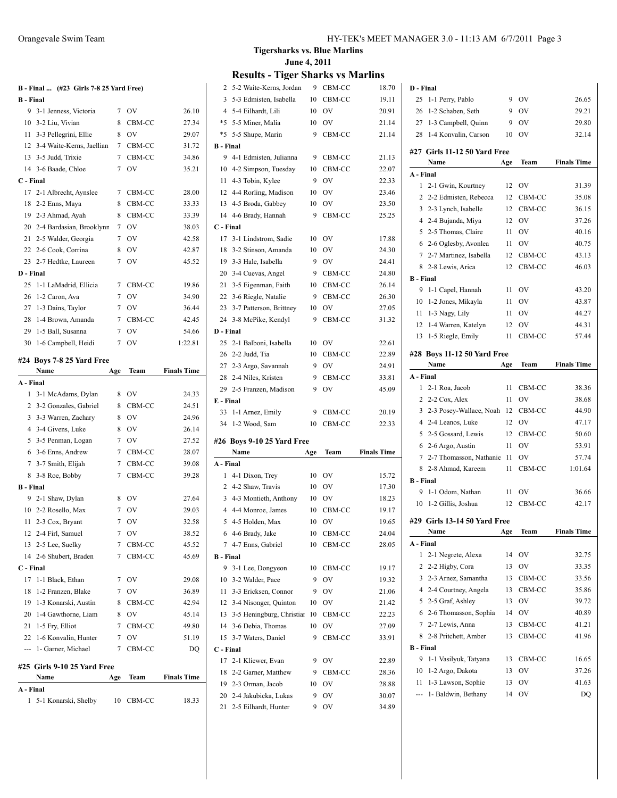|           | B - Final  (#23 Girls 7-8 25 Yard Free) |
|-----------|-----------------------------------------|
| B - Final |                                         |

|           | 9 3-1 Jenness, Victoria      | 7 | O <sub>V</sub> | 26.10   |
|-----------|------------------------------|---|----------------|---------|
|           | 10 3-2 Liu, Vivian           | 8 | CBM-CC         | 27.34   |
| 11        | 3-3 Pellegrini, Ellie        | 8 | OV             | 29.07   |
|           | 12 3-4 Waite-Kerns, Jaellian | 7 | CBM-CC         | 31.72   |
|           | 13 3-5 Judd, Trixie          | 7 | CBM-CC         | 34.86   |
|           | 14 3-6 Baade, Chloe          | 7 | OV             | 35.21   |
| C - Final |                              |   |                |         |
|           | 17 2-1 Albrecht, Aynslee     | 7 | CBM-CC         | 28.00   |
|           | 18 2-2 Enns, Maya            | 8 | CBM-CC         | 33.33   |
| 19        | 2-3 Ahmad, Ayah              | 8 | CBM-CC         | 33.39   |
|           | 20 2-4 Bardasian, Brooklynn  | 7 | OV             | 38.03   |
| 21        | 2-5 Walder, Georgia          | 7 | OV             | 42.58   |
|           | 22 2-6 Cook, Corrina         | 8 | OV             | 42.87   |
|           | 23 2-7 Hedtke, Laureen       | 7 | OV             | 45.52   |
| D - Final |                              |   |                |         |
| 25        | 1-1 LaMadrid, Ellicia        | 7 | CBM-CC         | 19.86   |
| 26        | 1-2 Caron, Ava               | 7 | OV             | 34.90   |
|           | 27 1-3 Dains, Taylor         | 7 | OV             | 36.44   |
|           | 28 1-4 Brown, Amanda         | 7 | CBM-CC         | 42.45   |
|           | 29 1-5 Ball, Susanna         | 7 | OV             | 54.66   |
| 30        | 1-6 Campbell, Heidi          | 7 | OV             | 1:22.81 |
|           |                              |   |                |         |

### **#24 Boys 7-8 25 Yard Free**

|                  | Name                        | Age | Team      | <b>Finals Time</b> |
|------------------|-----------------------------|-----|-----------|--------------------|
| A - Final        |                             |     |           |                    |
| 1                | 3-1 McAdams, Dylan          | 8   | <b>OV</b> | 24.33              |
| 2                | 3-2 Gonzales, Gabriel       | 8   | CBM-CC    | 24.51              |
| 3                | 3-3 Warren, Zachary         | 8   | OV        | 24.96              |
| 4                | 3-4 Givens, Luke            | 8   | OV        | 26.14              |
| 5.               | 3-5 Penman, Logan           | 7   | OV        | 27.52              |
| 6                | 3-6 Enns, Andrew            | 7   | CBM-CC    | 28.07              |
| 7                | 3-7 Smith, Elijah           | 7   | CBM-CC    | 39.08              |
| 8                | 3-8 Roe, Bobby              | 7   | CBM-CC    | 39.28              |
| <b>B</b> - Final |                             |     |           |                    |
| 9                | 2-1 Shaw, Dylan             | 8   | OV        | 27.64              |
| 10               | 2-2 Rosello, Max            | 7   | OV        | 29.03              |
| 11               | 2-3 Cox, Bryant             | 7   | <b>OV</b> | 32.58              |
|                  | 12 2-4 Firl, Samuel         | 7   | OV        | 38.52              |
| 13               | 2-5 Lee, Suelky             | 7   | CBM-CC    | 45.52              |
| 14               | 2-6 Shubert, Braden         | 7   | CBM-CC    | 45.69              |
| C - Final        |                             |     |           |                    |
| 17               | 1-1 Black, Ethan            | 7   | OV        | 29.08              |
| 18               | 1-2 Franzen, Blake          | 7   | OV        | 36.89              |
| 19               | 1-3 Konarski, Austin        | 8   | CBM-CC    | 42.94              |
| 20               | 1-4 Gawthorne, Liam         | 8   | OV        | 45.14              |
| 21               | 1-5 Fry, Elliot             | 7   | CBM-CC    | 49.80              |
| 22               | 1-6 Konvalin, Hunter        | 7   | <b>OV</b> | 51.19              |
| ---              | 1- Garner, Michael          | 7   | CBM-CC    | DQ                 |
|                  | #25 Girls 9-10 25 Yard Free |     |           |                    |
|                  | Name                        | Age | Team      | <b>Finals Time</b> |
| A - Final        |                             |     |           |                    |
| 1                | 5-1 Konarski, Shelby        | 10  | CBM-CC    | 18.33              |

### **Tigersharks vs. Blue Marlins June 4, 2011**

| 2                | 5-2 Waite-Kerns, Jordan                            | 9      | CBM-CC      | 18.70              |
|------------------|----------------------------------------------------|--------|-------------|--------------------|
| 3                | 5-3 Edmisten, Isabella                             | 10     | CBM-CC      | 19.11              |
|                  | 4 5-4 Eilhardt, Lili                               | 10     | OV          | 20.91              |
|                  | *5 5-5 Miner, Malia                                | 10     | OV          | 21.14              |
| *5               | 5-5 Shupe, Marin                                   | 9      | CBM-CC      | 21.14              |
| <b>B</b> - Final |                                                    |        |             |                    |
| 9                | 4-1 Edmisten, Julianna                             | 9      | CBM-CC      | 21.13              |
| 10               | 4-2 Simpson, Tuesday                               | 10     | CBM-CC      | 22.07              |
| 11               | 4-3 Tobin, Kylee                                   | 9      | OV          | 22.33              |
|                  | 12 4-4 Rorling, Madison                            | 10     | OV          | 23.46              |
| 13               | 4-5 Broda, Gabbey                                  | 10     | OV          | 23.50              |
| 14               | 4-6 Brady, Hannah                                  | 9      | CBM-CC      | 25.25              |
| C - Final        |                                                    |        |             |                    |
| 17               | 3-1 Lindstrom, Sadie                               | 10     | OV          | 17.88              |
| 18               | 3-2 Stinson, Amanda                                | 10     | OV          | 24.30              |
|                  | 19 3-3 Hale, Isabella                              | 9      | OV          | 24.41              |
| 20               | 3-4 Cuevas, Angel                                  | 9      | CBM-CC      | 24.80              |
| 21               | 3-5 Eigenman, Faith                                | 10     | CBM-CC      | 26.14              |
| 22               | 3-6 Riegle, Natalie                                | 9      | CBM-CC      | 26.30              |
| 23               | 3-7 Patterson, Brittney                            | 10     | OV          | 27.05              |
| 24               | 3-8 McPike, Kendyl                                 | 9      | CBM-CC      | 31.32              |
| D - Final        |                                                    |        |             |                    |
| 25               | 2-1 Balboni, Isabella                              | 10     | <b>OV</b>   | 22.61              |
|                  | 26 2-2 Judd, Tia                                   | 10     | CBM-CC      | 22.89              |
|                  | 27 2-3 Argo, Savannah                              | 9      | OV          | 24.91              |
|                  | 28 2-4 Niles, Kristen                              | 9      | CBM-CC      | 33.81              |
|                  | 29 2-5 Franzen, Madison                            | 9      | OV          | 45.09              |
|                  |                                                    |        |             |                    |
|                  |                                                    |        |             |                    |
| E - Final        |                                                    |        |             |                    |
| 33               | 1-1 Arnez, Emily                                   | 9      | CBM-CC      | 20.19              |
| 34               | 1-2 Wood, Sam                                      | 10     | CBM-CC      | 22.33              |
|                  | #26 Boys 9-10 25 Yard Free                         |        |             |                    |
|                  | Name                                               | Age    | Team        | <b>Finals Time</b> |
| A - Final        |                                                    |        |             |                    |
| 1                | 4-1 Dixon, Trey                                    | 10     | OV          | 15.72              |
|                  | 2 4-2 Shaw, Travis                                 | 10     | OV          | 17.30              |
|                  | 3 4-3 Montieth, Anthony                            | 10     | OV          | 18.23              |
|                  | 4 4-4 Monroe, James                                | 10     | CBM-CC      | 19.17              |
|                  | 5 4-5 Holden, Max                                  | 10     | OV          | 19.65              |
| 6                | 4-6 Brady, Jake                                    | 10     | CBM-CC      | 24.04              |
| 7                | 4-7 Enns, Gabriel                                  | 10     | CBM-CC      | 28.05              |
| <b>B</b> - Final |                                                    |        |             |                    |
| 9                | 3-1 Lee, Dongyeon                                  | 10     | CBM-CC      | 19.17              |
| 10               | 3-2 Walder, Pace                                   | 9      | OV          | 19.32              |
| 11               | 3-3 Ericksen, Connor                               | 9      | <b>OV</b>   | 21.06              |
| 12               | 3-4 Nisonger, Quinton                              | 10     | $\hbox{OV}$ | 21.42              |
| 13               | 3-5 Heningburg, Christian                          | 10     | CBM-CC      | 22.23              |
|                  | 14 3-6 Debia, Thomas                               | 10     | OV          | 27.09              |
| 15               | 3-7 Waters, Daniel                                 | 9      | CBM-CC      | 33.91              |
| C - Final        |                                                    |        |             |                    |
| 17               | 2-1 Kliewer, Evan                                  | 9      | OV          | 22.89              |
| 18               | 2-2 Garner, Matthew                                | 9      | CBM-CC      | 28.36              |
|                  | 19 2-3 Orman, Jacob                                | 10     | OV          | 28.88              |
|                  | 20 2-4 Jakubicka, Lukas<br>21 2-5 Eilhardt, Hunter | 9<br>9 | OV<br>OV    | 30.07<br>34.89     |

| D - Final        |                              |     |           |                    |
|------------------|------------------------------|-----|-----------|--------------------|
| 25               | 1-1 Perry, Pablo             | 9   | ov        | 26.65              |
| 26               | 1-2 Schaben, Seth            | 9   | <b>OV</b> | 29.21              |
| 27               | 1-3 Campbell, Quinn          | 9   | <b>OV</b> | 29.80              |
| 28               | 1-4 Konvalin, Carson         | 10  | OV        | 32.14              |
|                  | #27 Girls 11-12 50 Yard Free |     |           |                    |
|                  | Name                         | Age | Team      | <b>Finals Time</b> |
| A - Final        |                              |     |           |                    |
| 1                | 2-1 Gwin, Kourtney           | 12  | OV        | 31.39              |
| 2                | 2-2 Edmisten, Rebecca        | 12  | CBM-CC    | 35.08              |
| 3                | 2-3 Lynch, Isabelle          | 12  | CBM-CC    | 36.15              |
| 4                | 2-4 Bujanda, Miya            | 12  | OV        | 37.26              |
| 5                | 2-5 Thomas, Claire           | 11  | OV        | 40.16              |
| 6                | 2-6 Oglesby, Avonlea         | 11  | <b>OV</b> | 40.75              |
| $7^{\circ}$      | 2-7 Martinez, Isabella       | 12  | CBM-CC    | 43.13              |
| 8                | 2-8 Lewis, Arica             | 12  | CBM-CC    | 46.03              |
| <b>B</b> - Final |                              |     |           |                    |
| 9                | 1-1 Capel, Hannah            | 11  | OV        | 43.20              |
| 10               | 1-2 Jones, Mikayla           | 11  | OV        | 43.87              |
| 11               | 1-3 Nagy, Lily               | 11  | OV        | 44.27              |
| 12               | 1-4 Warren, Katelyn          | 12  | OV        | 44.31              |
| 13               | 1-5 Riegle, Emily            | 11  | CBM-CC    | 57.44              |
|                  |                              |     |           |                    |
|                  | #28 Boys 11-12 50 Yard Free  |     |           |                    |
|                  | Name                         | Age | Team      | <b>Finals Time</b> |
| A - Final        |                              |     |           |                    |
| 1                | 2-1 Roa, Jacob               | 11  | CBM-CC    | 38.36              |
| 2                | 2-2 Cox, Alex                | 11  | OV        | 38.68              |
| 3                | 2-3 Posey-Wallace, Noah      | -12 | CBM-CC    | 44.90              |
| 4                | 2-4 Leanos, Luke             | 12  | <b>OV</b> | 47.17              |
| 5                | 2-5 Gossard, Lewis           | 12  | CBM-CC    | 50.60              |
| 6                | 2-6 Argo, Austin             | 11  | OV        | 53.91              |
| 7                | 2-7 Thomasson, Nathanie      | -11 | OV        | 57.74              |
| 8                | 2-8 Ahmad, Kareem            | 11  | CBM-CC    | 1:01.64            |
| <b>B</b> - Final |                              |     |           |                    |
| 9                | 1-1 Odom, Nathan             | 11  | OV        | 36.66              |
| 10               | 1-2 Gillis, Joshua           | 12  | CBM-CC    | 42.17              |
|                  | #29 Girls 13-14 50 Yard Free |     |           |                    |
|                  | Name                         | Age | Team      | <b>Finals Time</b> |
| A - Final        |                              |     |           |                    |
| 1                | 2-1 Negrete, Alexa           | 14  | OV        | 32.75              |
| 2                | 2-2 Higby, Cora              | 13  | OV        | 33.35              |
| 3                | 2-3 Arnez, Samantha          | 13  | CBM-CC    | 33.56              |
| $\overline{4}$   | 2-4 Courtney, Angela         | 13  | CBM-CC    | 35.86              |
|                  | 2-5 Graf, Ashley             |     | OV        |                    |
| 5                |                              | 13  |           | 39.72              |
| 6                | 2-6 Thomasson, Sophia        | 14  | OV        | 40.89              |
| 7                | 2-7 Lewis, Anna              | 13  | CBM-CC    | 41.21              |
| 8                | 2-8 Pritchett, Amber         | 13  | CBM-CC    | 41.96              |
| <b>B</b> - Final |                              |     |           |                    |
| 9                |                              |     |           |                    |
|                  | 1-1 Vasilyuk, Tatyana        | 13  | CBM-CC    | 16.65              |
| 10               | 1-2 Argo, Dakota             | 13  | OV        | 37.26              |
| 11               | 1-3 Lawson, Sophie           | 13  | OV        | 41.63              |
| ---              | 1- Baldwin, Bethany          | 14  | OV        | DQ                 |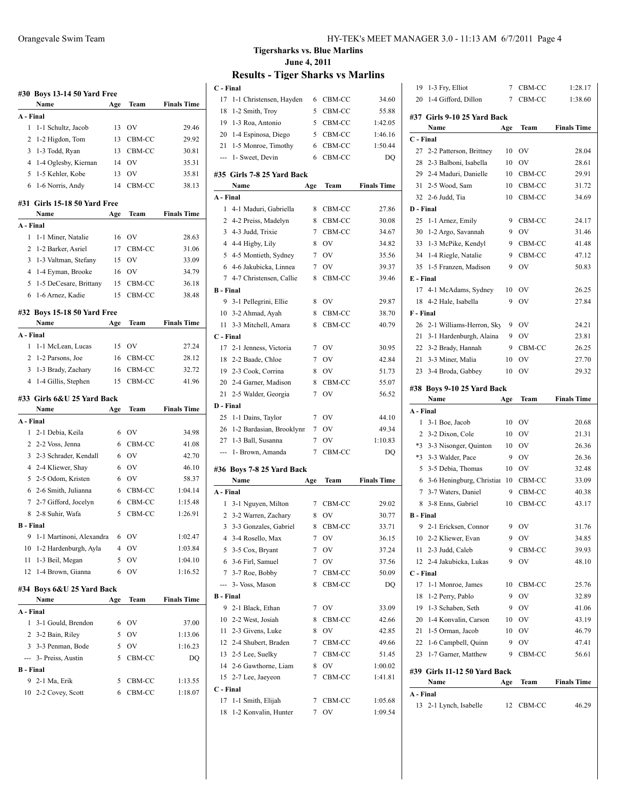|                  | #30 Boys 13-14 50 Yard Free             |        |              |                    |  |
|------------------|-----------------------------------------|--------|--------------|--------------------|--|
|                  | Name                                    | Age    | Team         | <b>Finals Time</b> |  |
| A - Final        |                                         |        |              |                    |  |
| 1                | 1-1 Schultz, Jacob                      | 13     | OV           | 29.46              |  |
| 2                | 1-2 Higdon, Tom                         | 13     | CBM-CC       | 29.92              |  |
| 3                | 1-3 Todd, Ryan                          | 13     | CBM-CC       | 30.81              |  |
| 4                | 1-4 Oglesby, Kiernan                    | 14     | OV           | 35.31              |  |
| 5                | 1-5 Kehler, Kobe                        | 13     | OV           | 35.81              |  |
| 6                | 1-6 Norris, Andy                        | 14     | CBM-CC       | 38.13              |  |
|                  |                                         |        |              |                    |  |
|                  | #31 Girls 15-18 50 Yard Free<br>Name    | Age    |              | <b>Finals Time</b> |  |
| A - Final        |                                         |        | Team         |                    |  |
| 1                | 1-1 Miner, Natalie                      | 16     | <b>OV</b>    | 28.63              |  |
| 2                | 1-2 Barker, Asriel                      | 17     | CBM-CC       | 31.06              |  |
| 3                | 1-3 Valtman, Stefany                    | 15     | <b>OV</b>    | 33.09              |  |
| $\overline{4}$   | 1-4 Eyman, Brooke                       | 16     | OV           | 34.79              |  |
| 5                | 1-5 DeCesare, Brittany                  | 15     | CBM-CC       | 36.18              |  |
| 6                | 1-6 Arnez, Kadie                        | 15     | CBM-CC       | 38.48              |  |
|                  |                                         |        |              |                    |  |
|                  | #32 Boys 15-18 50 Yard Free             |        |              |                    |  |
|                  | Name                                    | Age    | Team         | <b>Finals Time</b> |  |
| A - Final        |                                         |        |              |                    |  |
| 1                | 1-1 McLean, Lucas                       | 15     | <b>OV</b>    | 27.24              |  |
| 2                | 1-2 Parsons, Joe                        | 16     | CBM-CC       | 28.12              |  |
| 3                | 1-3 Brady, Zachary                      | 16     | CBM-CC       | 32.72              |  |
| 4                | 1-4 Gillis, Stephen                     | 15     | CBM-CC       | 41.96              |  |
|                  |                                         |        |              |                    |  |
|                  | #33 Girls 6&U 25 Yard Back              |        |              |                    |  |
|                  | Name                                    | Age    | Team         | <b>Finals Time</b> |  |
| A - Final        |                                         |        |              |                    |  |
| 1                | 2-1 Debia, Keila                        | 6      | OV           | 34.98              |  |
| 2                | 2-2 Voss, Jenna                         | 6      | CBM-CC       | 41.08              |  |
| 3                | 2-3 Schrader, Kendall                   | 6      | <b>OV</b>    | 42.70              |  |
|                  | 4 2-4 Kliewer, Shay                     | 6      | <b>OV</b>    | 46.10              |  |
| 5                | 2-5 Odom, Kristen                       | 6      | <b>OV</b>    | 58.37              |  |
|                  | 6 2-6 Smith, Julianna                   | 6      | CBM-CC       | 1:04.14            |  |
| 7                | 2-7 Gifford, Jocelyn                    | 6      | CBM-CC       | 1:15.48            |  |
| 8                | 2-8 Suhir, Wafa                         | 5      | CBM-CC       | 1:26.91            |  |
| <b>B</b> - Final |                                         |        |              |                    |  |
| 9                | 1-1 Martinoni, Alexandra                | 6      | OV           | 1:02.47            |  |
| 10               | 1-2 Hardenburgh, Ayla                   | 4      | OV           | 1:03.84            |  |
| 11               | 1-3 Beil, Megan                         | 5      | OV           | 1:04.10            |  |
| 12               | 1-4 Brown, Gianna                       | 6      | OV           | 1:16.52            |  |
|                  |                                         |        |              |                    |  |
|                  | #34 Boys 6&U 25 Yard Back<br>Name       |        | <b>Team</b>  | <b>Finals Time</b> |  |
| A - Final        |                                         | Age    |              |                    |  |
| 1                |                                         | 6      |              | 37.00              |  |
|                  | 3-1 Gould, Brendon                      |        | OV           |                    |  |
| $\mathbf{2}$     | 3-2 Bain, Riley                         | 5      | OV           | 1:13.06            |  |
| ---              | 3 3-3 Penman, Bode<br>3- Preiss, Austin | 5<br>5 | OV<br>CBM-CC | 1:16.23<br>DQ      |  |
| <b>B</b> - Final |                                         |        |              |                    |  |
| 9.               | 2-1 Ma, Erik                            | 5      | CBM-CC       | 1:13.55            |  |

### **Tigersharks vs. Blue Marlins June 4, 2011**

| C - Final        |                             |                |                               |                    |
|------------------|-----------------------------|----------------|-------------------------------|--------------------|
| 17               | 1-1 Christensen, Hayden     | 6              | CBM-CC                        | 34.60              |
| 18               | 1-2 Smith, Troy             | 5              | CBM-CC                        | 55.88              |
| 19               | 1-3 Roa, Antonio            |                | 5 CBM-CC                      | 1:42.05            |
| 20               | 1-4 Espinosa, Diego         |                | 5 CBM-CC                      | 1:46.16            |
| 21               | 1-5 Monroe, Timothy         |                | 6 CBM-CC                      | 1:50.44            |
|                  | --- 1- Sweet, Devin         | 6              | CBM-CC                        | DQ                 |
|                  | #35 Girls 7-8 25 Yard Back  |                |                               | <b>Finals Time</b> |
| A - Final        | Name                        | Age            | Team                          |                    |
| 1                | 4-1 Maduri, Gabriella       |                | 8 CBM-CC                      | 27.86              |
|                  | 2 4-2 Preiss, Madelyn       | 8              | CBM-CC                        | 30.08              |
|                  | 3 4-3 Judd, Trixie          |                | 7 CBM-CC                      | 34.67              |
|                  | 4 4-4 Higby, Lily           | 8              | <b>OV</b>                     | 34.82              |
|                  | 5 4-5 Montieth, Sydney      |                | 7 OV                          | 35.56              |
|                  |                             |                |                               |                    |
|                  | 6 4-6 Jakubicka, Linnea     |                | 7 OV                          | 39.37              |
| <b>B</b> - Final | 7 4-7 Christensen, Callie   | 8              | CBM-CC                        | 39.46              |
| 9                | 3-1 Pellegrini, Ellie       | 8              | OV                            | 29.87              |
|                  | 10 3-2 Ahmad, Ayah          | 8              | CBM-CC                        | 38.70              |
| 11               | 3-3 Mitchell, Amara         | 8              | CBM-CC                        | 40.79              |
| C - Final        |                             |                |                               |                    |
|                  | 17 2-1 Jenness, Victoria    | 7              | OV                            | 30.95              |
|                  | 18 2-2 Baade, Chloe         | 7              | <b>OV</b>                     | 42.84              |
|                  | 19 2-3 Cook, Corrina        | 8              | <b>OV</b>                     | 51.73              |
|                  | 20 2-4 Garner, Madison      | 8              | CBM-CC                        | 55.07              |
| 21               | 2-5 Walder, Georgia         | 7              | OV                            | 56.52              |
| D - Final        |                             |                |                               |                    |
| 25               | 1-1 Dains, Taylor           | 7              | OV                            | 44.10              |
|                  | 26 1-2 Bardasian, Brooklynn | 7              | OV                            | 49.34              |
|                  | 27 1-3 Ball, Susanna        | $\overline{7}$ | OV                            | 1:10.83            |
|                  | --- 1- Brown, Amanda        | 7              | CBM-CC                        | DQ                 |
|                  |                             |                |                               |                    |
|                  | #36 Boys 7-8 25 Yard Back   |                |                               |                    |
|                  | Name                        | Age            | Team                          | <b>Finals Time</b> |
| A - Final        |                             |                |                               |                    |
| 1                | 3-1 Nguyen, Milton          | 7              | CBM-CC                        | 29.02              |
|                  | 2 3-2 Warren, Zachary       | 8              | OV                            | 30.77              |
| $\overline{3}$   | 3-3 Gonzales, Gabriel       | 8              | CBM-CC                        | 33.71              |
| 4                | 3-4 Rosello, Max            | $\overline{7}$ | $\overline{\text{O}}\text{V}$ | 36.15              |
| 5                | 3-5 Cox, Bryant             | 7              | OV                            | 37.24              |
| 6                | 3-6 Firl, Samuel            | 7              | OV                            | 37.56              |
| 7                | 3-7 Roe, Bobby              | 7              | CBM-CC                        | 50.09              |
| ---              | 3- Voss, Mason              | 8              | CBM-CC                        | DQ                 |
| <b>B</b> - Final |                             |                |                               |                    |
| 9                | 2-1 Black, Ethan            | 7              | OV                            | 33.09              |
| 10               | 2-2 West, Josiah            | 8              | CBM-CC                        | 42.66              |
| 11               | 2-3 Givens, Luke            | 8              | OV                            | 42.85              |
|                  | 12 2-4 Shubert, Braden      | 7              | CBM-CC                        | 49.66              |
| 13               | 2-5 Lee, Suelky             | 7              | CBM-CC                        | 51.45              |
| 14               | 2-6 Gawthorne, Liam         | 8              | OV                            | 1:00.02            |
| 15               | 2-7 Lee, Jaeyeon            | 7              | CBM-CC                        | 1:41.81            |
| C - Final        |                             |                |                               |                    |
| 17               | 1-1 Smith, Elijah           | 7              | CBM-CC                        | 1:05.68            |
| 18               | 1-2 Konvalin, Hunter        | 7              | OV                            | 1:09.54            |

| 19               | 1-3 Fry, Elliot              | 7   | CBM-CC    | 1:28.17            |
|------------------|------------------------------|-----|-----------|--------------------|
| 20               | 1-4 Gifford, Dillon          | 7   | CBM-CC    | 1:38.60            |
|                  |                              |     |           |                    |
|                  | #37 Girls 9-10 25 Yard Back  |     |           |                    |
|                  | Name                         | Age | Team      | <b>Finals Time</b> |
| C - Final        |                              |     |           |                    |
| 27               | 2-2 Patterson, Brittney      | 10  | OV        | 28.04              |
| 28               | 2-3 Balboni, Isabella        | 10  | OV        | 28.61              |
| 29               | 2-4 Maduri, Danielle         | 10  | CBM-CC    | 29.91              |
| 31               | 2-5 Wood, Sam                | 10  | CBM-CC    | 31.72              |
|                  | 32 2-6 Judd, Tia             | 10  | CBM-CC    | 34.69              |
| D - Final        |                              |     |           |                    |
| 25               | 1-1 Arnez, Emily             | 9   | CBM-CC    | 24.17              |
| 30               | 1-2 Argo, Savannah           | 9   | OV        | 31.46              |
| 33               | 1-3 McPike, Kendyl           | 9   | CBM-CC    | 41.48              |
| 34               | 1-4 Riegle, Natalie          | 9   | CBM-CC    | 47.12              |
| 35               | 1-5 Franzen, Madison         | 9   | OV        | 50.83              |
| E - Final        |                              |     |           |                    |
| 17               | 4-1 McAdams, Sydney          | 10  | ov        | 26.25              |
| 18               | 4-2 Hale, Isabella           | 9   | OV        | 27.84              |
| F - Final        |                              |     |           |                    |
| 26               | 2-1 Williams-Herron, Sky     | 9   | <b>OV</b> | 24.21              |
| 21               | 3-1 Hardenburgh, Alaina      | 9   | OV        | 23.81              |
|                  | 22 3-2 Brady, Hannah         | 9   | CBM-CC    | 26.25              |
| 21               | 3-3 Miner, Malia             | 10  | OV        | 27.70              |
| 23               | 3-4 Broda, Gabbey            | 10  | OV        | 29.32              |
|                  |                              |     |           |                    |
|                  | #38 Boys 9-10 25 Yard Back   |     |           |                    |
|                  | Name                         | Age | Team      | <b>Finals Time</b> |
|                  |                              |     |           |                    |
| A - Final        |                              |     |           |                    |
| 1                | 3-1 Boe, Jacob               | 10  | OV        | 20.68              |
| 2                | 3-2 Dixon, Cole              | 10  | OV        | 21.31              |
|                  | *3 3-3 Nisonger, Quinton     | 10  | <b>OV</b> | 26.36              |
| $*3$             | 3-3 Walder, Pace             | 9   | <b>OV</b> | 26.36              |
| 5                | 3-5 Debia, Thomas            | 10  | <b>OV</b> | 32.48              |
| 6                | 3-6 Heningburg, Christian    | 10  | CBM-CC    | 33.09              |
| 7                | 3-7 Waters, Daniel           | 9   | CBM-CC    | 40.38              |
| 8                | 3-8 Enns, Gabriel            | 10  | CBM-CC    | 43.17              |
| <b>B</b> - Final |                              |     |           |                    |
| 9                | 2-1 Ericksen, Connor         | 9   | ov        | 31.76              |
| 10               | 2-2 Kliewer, Evan            | 9   | OV        | 34.85              |
| 11               | 2-3 Judd, Caleb              | 9   | CBM-CC    | 39.93              |
| 12               | 2-4 Jakubicka, Lukas         | 9   | OV        | 48.10              |
| C - Final        |                              |     |           |                    |
| 17               | 1-1 Monroe, James            | 10  | CBM-CC    | 25.76              |
| 18               |                              | 9   | <b>OV</b> |                    |
|                  | 1-2 Perry, Pablo             | 9   |           | 32.89              |
| 19               | 1-3 Schaben, Seth            |     | OV        | 41.06              |
| 20               | 1-4 Konvalin, Carson         | 10  | <b>OV</b> | 43.19              |
| 21<br>22         | 1-5 Orman, Jacob             | 10  | <b>OV</b> | 46.79              |
|                  | 1-6 Campbell, Quinn          | 9   | OV        | 47.41              |
| 23               | 1-7 Garner, Matthew          | 9   | CBM-CC    | 56.61              |
|                  | #39 Girls 11-12 50 Yard Back |     |           |                    |
|                  | Name                         | Age | Team      | <b>Finals Time</b> |
| A - Final        |                              |     |           |                    |
| 13               | 2-1 Lynch, Isabelle          | 12  | CBM-CC    | 46.29              |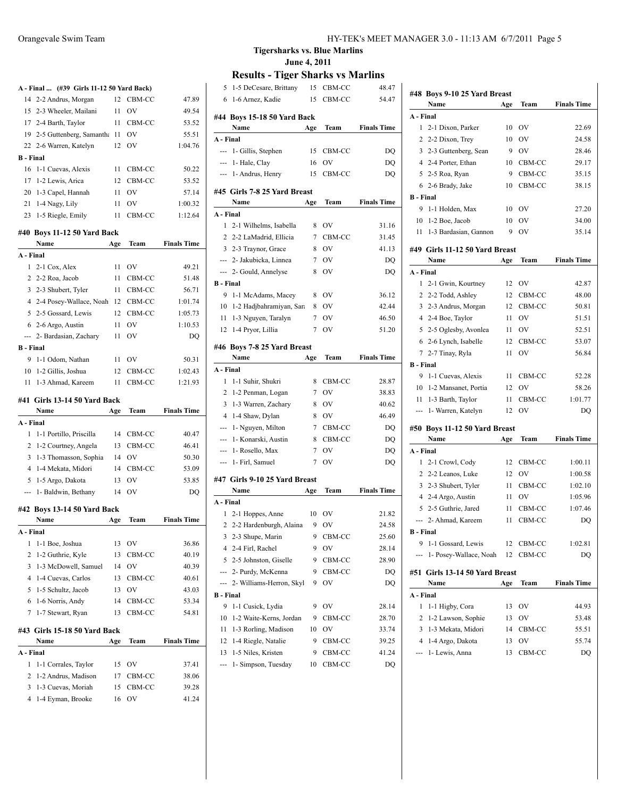|                  | A - Final  (#39 Girls 11-12 50 Yard Back) |     |           |                    |
|------------------|-------------------------------------------|-----|-----------|--------------------|
| 14               | 2-2 Andrus, Morgan                        |     | 12 CBM-CC | 47.89              |
|                  | 15 2-3 Wheeler, Mailani                   | 11  | <b>OV</b> | 49.54              |
|                  | 17 2-4 Barth, Taylor                      |     | 11 CBM-CC | 53.52              |
|                  | 19 2-5 Guttenberg, Samantha 11 OV         |     |           | 55.51              |
|                  | 22 2-6 Warren, Katelyn                    |     | 12 OV     | 1:04.76            |
| <b>B</b> - Final |                                           |     |           |                    |
| 16               | 1-1 Cuevas, Alexis                        | 11  | CBM-CC    | 50.22              |
| 17               | 1-2 Lewis, Arica                          | 12  | CBM-CC    | 53.52              |
| 20               | 1-3 Capel, Hannah                         | 11  | OV        | 57.14              |
|                  | 21 1-4 Nagy, Lily                         | 11  | OV        | 1:00.32            |
|                  | 23 1-5 Riegle, Emily                      | 11  | CBM-CC    | 1:12.64            |
|                  | #40 Boys 11-12 50 Yard Back               |     |           |                    |
|                  | Name                                      | Age | Team      | <b>Finals Time</b> |
| A - Final        |                                           |     |           |                    |
| 1                | 2-1 Cox, Alex                             | 11  | <b>OV</b> | 49.21              |
|                  | 2 2-2 Roa, Jacob                          | 11  | CBM-CC    | 51.48              |
|                  | 3 2-3 Shubert, Tyler                      | 11  | CBM-CC    | 56.71              |
|                  | 4 2-4 Posey-Wallace, Noah                 |     | 12 CBM-CC | 1:01.74            |
|                  | 5 2-5 Gossard, Lewis                      | 12  | CBM-CC    | 1:05.73            |
|                  | 6 2-6 Argo, Austin                        | 11  | OV        | 1:10.53            |
|                  | --- 2- Bardasian, Zachary                 | 11  | OV        | DQ                 |
| <b>B</b> - Final |                                           |     |           |                    |
| 9                | 1-1 Odom, Nathan                          |     | 11 OV     | 50.31              |
|                  | 10 1-2 Gillis, Joshua                     |     | 12 CBM-CC | 1:02.43            |
| 11               | 1-3 Ahmad, Kareem                         | 11  | CBM-CC    | 1:21.93            |
|                  |                                           |     |           |                    |
|                  | #41 Girls 13-14 50 Yard Back              |     |           |                    |
|                  | Name                                      | Age | Team      | <b>Finals Time</b> |
| A - Final        |                                           |     |           |                    |
| 1                | 1-1 Portillo, Priscilla                   |     | 14 CBM-CC | 40.47              |
| 2                | 1-2 Courtney, Angela                      |     | 13 CBM-CC | 46.41              |
| 3                | 1-3 Thomasson, Sophia                     |     | 14 OV     | 50.30              |
| 4                | 1-4 Mekata, Midori                        |     | 14 CBM-CC | 53.09              |
| 5                | 1-5 Argo, Dakota                          |     | 13 OV     | 53.85              |
| ---              | 1- Baldwin, Bethany                       | 14  | OV        | DQ                 |
|                  |                                           |     |           |                    |
|                  | #42 Boys 13-14 50 Yard Back<br>Name       | Age | Team      | <b>Finals Time</b> |
| A - Final        |                                           |     |           |                    |
| 1                | 1-1 Boe, Joshua                           | 13  | OV        | 36.86              |
| 2                | 1-2 Guthrie, Kyle                         | 13  | CBM-CC    | 40.19              |
| 3                | 1-3 McDowell, Samuel                      | 14  | OV        | 40.39              |
| 4                | 1-4 Cuevas, Carlos                        | 13  | CBM-CC    | 40.61              |
| 5                | 1-5 Schultz, Jacob                        | 13  | OV        | 43.03              |
| 6                | 1-6 Norris, Andy                          | 14  | CBM-CC    | 53.34              |
| 7                | 1-7 Stewart, Ryan                         | 13  | CBM-CC    | 54.81              |
|                  |                                           |     |           |                    |
|                  | #43 Girls 15-18 50 Yard Back<br>Name      | Age | Team      | <b>Finals Time</b> |
| A - Final        |                                           |     |           |                    |
| 1                | 1-1 Corrales, Taylor                      | 15  | OV        | 37.41              |
| 2                | 1-2 Andrus, Madison                       | 17  | CBM-CC    | 38.06              |
| 3                | 1-3 Cuevas, Moriah                        | 15  | CBM-CC    | 39.28              |

#### **Tigersharks vs. Blue Marlins June 4, 2011**

| 5                | 1-5 DeCesare, Brittany        | 15  | CBM-CC    | 48.47              |
|------------------|-------------------------------|-----|-----------|--------------------|
| 6                | 1-6 Arnez, Kadie              | 15  | CBM-CC    | 54.47              |
|                  |                               |     |           |                    |
|                  | #44 Boys 15-18 50 Yard Back   |     |           |                    |
|                  | Name                          | Age | Team      | <b>Finals Time</b> |
| A - Final        |                               |     |           |                    |
| ---              | 1- Gillis, Stephen            | 15  | CBM-CC    | DQ                 |
| ---              | 1- Hale, Clay                 | 16  | OV        | DQ                 |
| ---              | 1- Andrus, Henry              | 15  | CBM-CC    | DQ                 |
|                  | #45  Girls 7-8 25 Yard Breast |     |           |                    |
|                  | Name                          | Age | Team      | <b>Finals Time</b> |
| A - Final        |                               |     |           |                    |
| 1                | 2-1 Wilhelms, Isabella        | 8   | <b>OV</b> | 31.16              |
| 2                | 2-2 LaMadrid, Ellicia         | 7   | CBM-CC    | 31.45              |
|                  | 3 2-3 Traynor, Grace          | 8   | <b>OV</b> | 41.13              |
|                  | --- 2- Jakubicka, Linnea      | 7   | <b>OV</b> | DQ                 |
|                  |                               | 8   | OV        |                    |
|                  | --- 2- Gould, Annelyse        |     |           | DQ                 |
| B - Final<br>9   |                               |     |           |                    |
|                  | 1-1 McAdams, Macey            | 8   | OV        | 36.12              |
| 10               | 1-2 Hadjbahramiyan, Sara      | 8   | OV        | 42.44              |
| 11 -             | 1-3 Nguyen, Taralyn           | 7   | OV        | 46.50              |
|                  | 12 1-4 Pryor, Lillia          | 7   | OV        | 51.20              |
|                  | #46 Boys 7-8 25 Yard Breast   |     |           |                    |
|                  | Name                          | Age | Team      | <b>Finals Time</b> |
| A - Final        |                               |     |           |                    |
|                  |                               |     |           |                    |
| 1                | 1-1 Suhir, Shukri             | 8   | CBM-CC    | 28.87              |
| 2                | 1-2 Penman, Logan             | 7   | <b>OV</b> | 38.83              |
|                  | 3 1-3 Warren, Zachary         | 8   | <b>OV</b> | 40.62              |
|                  | 4 1-4 Shaw, Dylan             | 8   | OV        | 46.49              |
|                  | --- 1- Nguyen, Milton         | 7   | CBM-CC    | DQ                 |
|                  | --- 1- Konarski, Austin       | 8   | CBM-CC    | DQ                 |
| ---              | 1- Rosello, Max               | 7   | OV        | DQ                 |
| $\cdots$         |                               | 7   | OV        |                    |
|                  | 1- Firl, Samuel               |     |           | DQ                 |
|                  | #47 Girls 9-10 25 Yard Breast |     |           |                    |
|                  | Name                          | Age | Team      | <b>Finals Time</b> |
| A - Final        |                               |     |           |                    |
| 1                | 2-1 Hoppes, Anne              | 10  | ov        | 21.82              |
| 2                | 2-2 Hardenburgh, Alaina       | 9   | OV        | 24.58              |
| 3                | 2-3 Shupe, Marin              | 9   | CBM-CC    | 25.60              |
| 4                | 2-4 Firl, Rachel              | 9   | OV        | 28.14              |
| 5                | 2-5 Johnston, Giselle         | 9   | CBM-CC    | 28.90              |
| ---              | 2- Purdy, McKenna             | 9   | CBM-CC    | DQ                 |
| ---              | 2- Williams-Herron, Skyl      | 9   | OV        | DQ                 |
| <b>B</b> - Final |                               |     |           |                    |
| 9                | 1-1 Cusick, Lydia             | 9   | OV        | 28.14              |
| 10               | 1-2 Waite-Kerns, Jordan       | 9   | CBM-CC    | 28.70              |
| 11               | 1-3 Rorling, Madison          | 10  | OV        | 33.74              |
| 12               | 1-4 Riegle, Natalie           | 9   | CBM-CC    | 39.25              |
| 13               | 1-5 Niles, Kristen            | 9   | CBM-CC    | 41.24              |

|                  | #48 Boys 9-10 25 Yard Breast   |     |           |                    |
|------------------|--------------------------------|-----|-----------|--------------------|
|                  | Name                           | Age | Team      | <b>Finals Time</b> |
| A - Final        |                                |     |           |                    |
| 1                | 2-1 Dixon, Parker              | 10  | OV        | 22.69              |
| 2                | 2-2 Dixon, Trey                | 10  | OV        | 24.58              |
| 3                | 2-3 Guttenberg, Sean           | 9   | OV        | 28.46              |
|                  | 4 2-4 Porter, Ethan            | 10  | CBM-CC    | 29.17              |
| 5                | 2-5 Roa, Ryan                  | 9   | CBM-CC    | 35.15              |
| 6                | 2-6 Brady, Jake                | 10  | CBM-CC    | 38.15              |
| <b>B</b> - Final |                                |     |           |                    |
| 9                | 1-1 Holden, Max                | 10  | <b>OV</b> | 27.20              |
|                  | $10$ 1-2 Boe, Jacob            | 10  | OV        | 34.00              |
| 11               | 1-3 Bardasian, Gannon          | 9   | OV        | 35.14              |
|                  | #49 Girls 11-12 50 Yard Breast |     |           |                    |
|                  | Name                           | Age | Team      | <b>Finals Time</b> |
| A - Final        |                                |     |           |                    |
| 1                | 2-1 Gwin, Kourtney             | 12  | OV        | 42.87              |
| 2                | 2-2 Todd, Ashley               | 12  | CBM-CC    | 48.00              |
| $\overline{3}$   | 2-3 Andrus, Morgan             | 12  | CBM-CC    | 50.81              |
|                  | 4 2-4 Boe, Taylor              | 11  | OV        | 51.51              |
|                  | 5 2-5 Oglesby, Avonlea         | 11  | <b>OV</b> | 52.51              |
|                  | 6 2-6 Lynch, Isabelle          | 12  | CBM-CC    | 53.07              |
|                  | 7 2-7 Tinay, Ryla              | 11  | OV        | 56.84              |
| <b>B</b> - Final |                                |     |           |                    |
| 9                | 1-1 Cuevas, Alexis             | 11  | CBM-CC    | 52.28              |
| 10               | 1-2 Mansanet, Portia           | 12  | OV        | 58.26              |
| 11               | 1-3 Barth, Taylor              | 11  | CBM-CC    | 1:01.77            |
| $---$            | 1- Warren, Katelyn             | 12  | OV        | DO                 |
|                  | #50 Boys 11-12 50 Yard Breast  |     |           |                    |
|                  | Name                           | Age | Team      | <b>Finals Time</b> |
| A - Final        |                                |     |           |                    |
| 1                | 2-1 Crowl, Cody                | 12  | CBM-CC    | 1:00.11            |
|                  | 2 2-2 Leanos, Luke             | 12  | OV        | 1:00.58            |
|                  | 3 2-3 Shubert, Tyler           | 11  | CBM-CC    | 1:02.10            |
|                  | 4 2-4 Argo, Austin             | 11  | OV        | 1:05.96            |
| 5                | 2-5 Guthrie, Jared             | 11  | CBM-CC    | 1:07.46            |
| ---              | 2- Ahmad, Kareem               | 11  | CBM-CC    | DO                 |
| <b>B</b> - Final |                                |     |           |                    |
| 9                | 1-1 Gossard, Lewis             | 12  | CBM-CC    | 1:02.81            |
|                  | 1- Posey-Wallace, Noah         | 12  | CBM-CC    | DQ                 |
| #51              | Girls 13-14 50 Yard Breast     |     |           |                    |
|                  | Name                           | Age | Team      | <b>Finals Time</b> |
| A - Final        |                                |     |           |                    |
| 1                | 1-1 Higby, Cora                | 13  | OV        | 44.93              |
| 2                | 1-2 Lawson, Sophie             | 13  | OV        | 53.48              |
| 3                | 1-3 Mekata, Midori             | 14  | CBM-CC    | 55.51              |
| 4                | 1-4 Argo, Dakota               | 13  | OV        | 55.74              |
| ---              | 1- Lewis, Anna                 | 13  | CBM-CC    | DQ                 |
|                  |                                |     |           |                    |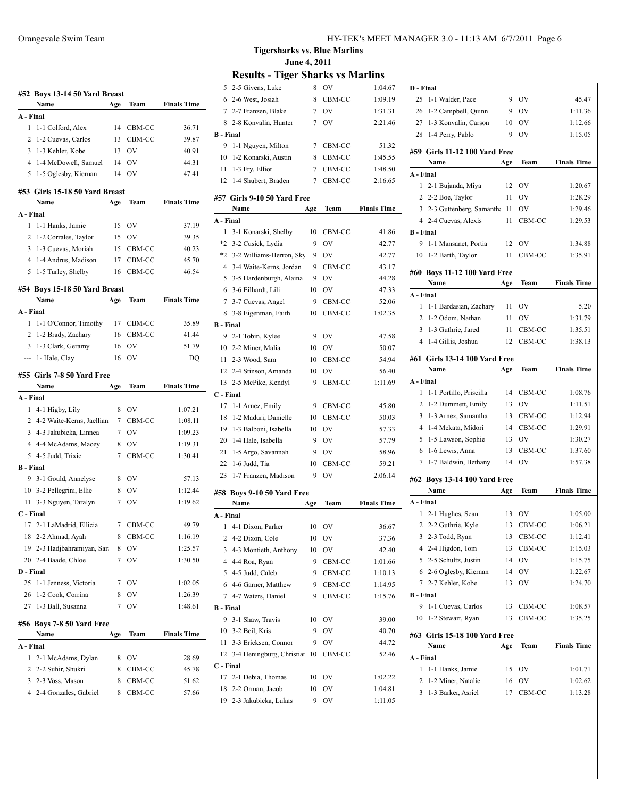| #52 Boys 13-14 50 Yard Breast |                                |             |           |                    |
|-------------------------------|--------------------------------|-------------|-----------|--------------------|
|                               | Name                           | Age         | Team      | <b>Finals Time</b> |
| A - Final                     |                                |             |           |                    |
| 1                             | 1-1 Colford, Alex              | 14          | CBM-CC    | 36.71              |
| 2                             | 1-2 Cuevas, Carlos             | 13          | CBM-CC    | 39.87              |
| $\overline{3}$                | 1-3 Kehler, Kobe               | 13          | OV        | 40.91              |
| $\overline{4}$                | 1-4 McDowell, Samuel           | - 14        | OV        | 44.31              |
| 5                             | 1-5 Oglesby, Kiernan           | 14          | OV        | 47.41              |
|                               |                                |             |           |                    |
|                               | #53 Girls 15-18 50 Yard Breast |             |           |                    |
|                               | Name                           | Age         | Team      | <b>Finals Time</b> |
| A - Final<br>1                |                                |             |           |                    |
| 2                             | 1-1 Hanks, Jamie               | 15          | <b>OV</b> | 37.19              |
|                               | 1-2 Corrales, Taylor           | 15          | OV        | 39.35              |
| 3                             | 1-3 Cuevas, Moriah             | 15          | CBM-CC    | 40.23<br>45.70     |
|                               | 4 1-4 Andrus, Madison          | 17          | CBM-CC    |                    |
| 5                             | 1-5 Turley, Shelby             | 16          | CBM-CC    | 46.54              |
|                               | #54 Boys 15-18 50 Yard Breast  |             |           |                    |
|                               | Name                           | Age         | Team      | <b>Finals Time</b> |
| A - Final                     |                                |             |           |                    |
| 1                             | 1-1 O'Connor, Timothy          | 17          | CBM-CC    | 35.89              |
| 2                             | 1-2 Brady, Zachary             | 16          | CBM-CC    | 41.44              |
|                               | 3 1-3 Clark, Geramy            | 16          | OV        | 51.79              |
|                               | --- 1- Hale, Clay              | 16          | OV        | DO                 |
|                               | #55 Girls 7-8 50 Yard Free     |             |           |                    |
|                               | Name                           | Age         | Team      | <b>Finals Time</b> |
| A - Final                     |                                |             |           |                    |
| 1                             | 4-1 Higby, Lily                | 8           | OV        | 1:07.21            |
|                               | 2 4-2 Waite-Kerns, Jaellian    | 7           | CBM-CC    | 1:08.11            |
|                               | 3 4-3 Jakubicka, Linnea        | 7           | <b>OV</b> | 1:09.23            |
|                               | 4 4-4 McAdams, Macey           | 8           | OV        | 1:19.31            |
|                               | 5 4-5 Judd, Trixie             | 7           | CBM-CC    | 1:30.41            |
| <b>B</b> - Final              |                                |             |           |                    |
|                               | 9 3-1 Gould, Annelyse          | 8           | OV        | 57.13              |
|                               | 10 3-2 Pellegrini, Ellie       | 8           | OV        | 1:12.44            |
|                               | 11 3-3 Nguyen, Taralyn         | $7^{\circ}$ | <b>OV</b> | 1:19.62            |
| C - Final                     |                                |             |           |                    |
|                               | 17 2-1 LaMadrid, Ellicia       | $7^{\circ}$ | CBM-CC    | 49.79              |
| 18                            | 2-2 Ahmad, Ayah                | 8           | CBM-CC    | 1:16.19            |
| 19                            | 2-3 Hadjbahramiyan, Sara       | 8           | OV        | 1:25.57            |
| 20                            | 2-4 Baade, Chloe               | 7           | OV        | 1:30.50            |
| D - Final                     |                                |             |           |                    |
| 25                            | 1-1 Jenness, Victoria          | 7           | OV        | 1:02.05            |
| 26                            | 1-2 Cook, Corrina              | 8           | OV        | 1:26.39            |
|                               | 27 1-3 Ball, Susanna           | 7           | OV        | 1:48.61            |
|                               | #56 Boys 7-8 50 Yard Free      |             |           |                    |
|                               | Name                           | Age         | Team      | <b>Finals Time</b> |
| A - Final                     |                                |             |           |                    |
| 1                             | 2-1 McAdams, Dylan             | 8           | OV        | 28.69              |
|                               | 2 2-2 Suhir, Shukri            | 8           | CBM-CC    | 45.78              |
| 3                             | 2-3 Voss, Mason                | 8           | CBM-CC    | 51.62              |
| 4                             | 2-4 Gonzales, Gabriel          | 8           | CBM-CC    | 57.66              |
|                               |                                |             |           |                    |

**Tigersharks vs. Blue Marlins June 4, 2011**

| 5                | 2-5 Givens, Luke                        | 8               | OV               | 1:04.67            |
|------------------|-----------------------------------------|-----------------|------------------|--------------------|
|                  | 6 2-6 West, Josiah                      | 8               | CBM-CC           | 1:09.19            |
|                  | 7 2-7 Franzen, Blake                    | 7               | OV               | 1:31.31            |
| 8                | 2-8 Konvalin, Hunter                    | 7               | OV               | 2:21.46            |
| <b>B</b> - Final |                                         |                 |                  |                    |
| 9                | 1-1 Nguyen, Milton                      | $7\phantom{.0}$ | CBM-CC           | 51.32              |
| 10               | 1-2 Konarski, Austin                    | 8               | CBM-CC           | 1:45.55            |
| 11               | 1-3 Fry, Elliot                         | 7               | CBM-CC           | 1:48.50            |
| 12               | 1-4 Shubert, Braden                     | 7               | CBM-CC           | 2:16.65            |
|                  |                                         |                 |                  |                    |
|                  | #57 Girls 9-10 50 Yard Free<br>Name     | Age             | Team             | <b>Finals Time</b> |
| A - Final        |                                         |                 |                  |                    |
| 1                | 3-1 Konarski, Shelby                    | 10              | CBM-CC           | 41.86              |
|                  | *2 3-2 Cusick, Lydia                    | 9               | OV               | 42.77              |
|                  | *2 3-2 Williams-Herron, Sky             | 9               | OV               | 42.77              |
|                  | 4 3-4 Waite-Kerns, Jordan               | 9               | CBM-CC           | 43.17              |
|                  | 5 3-5 Hardenburgh, Alaina               | 9.              | OV               | 44.28              |
| 6                | 3-6 Eilhardt, Lili                      | 10              | OV               | 47.33              |
| $7\overline{ }$  | 3-7 Cuevas, Angel                       | 9               | CBM-CC           | 52.06              |
| 8                | 3-8 Eigenman, Faith                     | 10              | CBM-CC           | 1:02.35            |
| <b>B</b> - Final |                                         |                 |                  |                    |
| 9                |                                         | 9               | OV               | 47.58              |
|                  | 2-1 Tobin, Kylee<br>10 2-2 Miner, Malia | 10              | OV               | 50.07              |
|                  |                                         |                 |                  | 54.94              |
| 11               | 2-3 Wood, Sam                           | 10              | CBM-CC<br>OV     | 56.40              |
| 12               | 2-4 Stinson, Amanda                     | 10<br>9         |                  | 1:11.69            |
|                  | 13 2-5 McPike, Kendyl                   |                 | CBM-CC           |                    |
| C - Final<br>17  | 1-1 Arnez, Emily                        | 9               |                  | 45.80              |
| 18               | 1-2 Maduri, Danielle                    | 10              | CBM-CC<br>CBM-CC | 50.03              |
| 19               |                                         | 10              | OV               |                    |
| 20               | 1-3 Balboni, Isabella                   | 9               | OV               | 57.33<br>57.79     |
| 21               | 1-4 Hale, Isabella                      | 9               | OV               | 58.96              |
| 22               | 1-5 Argo, Savannah                      | 10              | CBM-CC           | 59.21              |
|                  | 1-6 Judd, Tia                           | 9               | OV               | 2:06.14            |
| 23               | 1-7 Franzen, Madison                    |                 |                  |                    |
|                  | #58 Boys 9-10 50 Yard Free              |                 |                  |                    |
|                  | Name                                    | Age             | Team             | <b>Finals Time</b> |
| A - Final        |                                         |                 |                  |                    |
| 1                | 4-1 Dixon, Parker                       | 10              | OV               | 36.67              |
|                  | 2 4-2 Dixon, Cole                       | 10              | OV               | 37.36              |
| 3                | 4-3 Montieth, Anthony                   | 10              | OV               | 42.40              |
|                  | 4 4-4 Roa, Ryan                         | 9               | CBM-CC           | 1:01.66            |
|                  | 5 4-5 Judd, Caleb                       | 9               | CBM-CC           | 1:10.13            |
|                  | 6 4-6 Garner, Matthew                   | 9               | CBM-CC           | 1:14.95            |
|                  | 7 4-7 Waters, Daniel                    | 9               | CBM-CC           | 1:15.76            |
| <b>B</b> - Final |                                         |                 |                  |                    |
| 9                | 3-1 Shaw, Travis                        | 10              | OV               | 39.00              |
|                  | 10 3-2 Beil, Kris                       | 9               | OV               | 40.70              |
|                  | 11 3-3 Ericksen, Connor                 | 9               | OV               | 44.72              |
|                  | 12 3-4 Heningburg, Christian            | 10              | CBM-CC           | 52.46              |
| C - Final        |                                         |                 |                  |                    |
| 17               | 2-1 Debia, Thomas                       | 10              | OV               | 1:02.22            |
|                  | 18 2-2 Orman, Jacob                     | 10              | OV               | 1:04.81            |
|                  | 19 2-3 Jakubicka, Lukas                 | 9               | OV               | 1:11.05            |

| D - Final                    |                                           |     |           |                    |  |  |
|------------------------------|-------------------------------------------|-----|-----------|--------------------|--|--|
| 25                           | 1-1 Walder, Pace                          | 9   | OV        | 45.47              |  |  |
|                              | 26 1-2 Campbell, Quinn                    | 9   | OV        | 1:11.36            |  |  |
|                              | 27 1-3 Konvalin, Carson                   | 10  | OV        | 1:12.66            |  |  |
|                              | 28 1-4 Perry, Pablo                       | 9   | OV        | 1:15.05            |  |  |
|                              |                                           |     |           |                    |  |  |
|                              | #59 Girls 11-12 100 Yard Free             |     |           |                    |  |  |
|                              | Name                                      | Age | Team      | <b>Finals Time</b> |  |  |
| A - Final                    |                                           |     |           |                    |  |  |
|                              | 1 2-1 Bujanda, Miya                       | 12  | OV        | 1:20.67            |  |  |
|                              | 2 2-2 Boe, Taylor                         | 11  | OV        | 1:28.29            |  |  |
|                              | 3 2-3 Guttenberg, Samantha                | 11  | OV        | 1:29.46            |  |  |
|                              | 4 2-4 Cuevas, Alexis                      | 11  | CBM-CC    | 1:29.53            |  |  |
| <b>B</b> - Final             |                                           |     |           |                    |  |  |
| 9                            | 1-1 Mansanet, Portia                      | 12  | OV        | 1:34.88            |  |  |
| 10                           | 1-2 Barth, Taylor                         | 11  | CBM-CC    | 1:35.91            |  |  |
| #60 Boys 11-12 100 Yard Free |                                           |     |           |                    |  |  |
|                              | Name                                      | Age | Team      | <b>Finals Time</b> |  |  |
| A - Final                    |                                           |     |           |                    |  |  |
| 1                            | 1-1 Bardasian, Zachary                    |     | 11 OV     | 5.20               |  |  |
| $\overline{2}$               | 1-2 Odom, Nathan                          | 11  | OV        | 1:31.79            |  |  |
| 3                            | 1-3 Guthrie, Jared                        | 11  | CBM-CC    | 1:35.51            |  |  |
|                              | 4 1-4 Gillis, Joshua                      | 12  | CBM-CC    | 1:38.13            |  |  |
|                              |                                           |     |           |                    |  |  |
|                              | #61 Girls 13-14 100 Yard Free             |     |           |                    |  |  |
|                              | Name                                      | Age | Team      | <b>Finals Time</b> |  |  |
| A - Final                    |                                           |     |           |                    |  |  |
| 1                            | 1-1 Portillo, Priscilla                   | 14  | CBM-CC    | 1:08.76            |  |  |
| 2                            | 1-2 Dummett, Emily                        | 13  | OV        | 1:11.51            |  |  |
| 3                            | 1-3 Arnez, Samantha                       | 13  | CBM-CC    | 1:12.94            |  |  |
| 4                            | 1-4 Mekata, Midori                        | 14  | CBM-CC    | 1:29.91            |  |  |
| 5                            | 1-5 Lawson, Sophie                        | 13  | OV        | 1:30.27            |  |  |
| 6                            | 1-6 Lewis, Anna                           | 13  | CBM-CC    | 1:37.60            |  |  |
| 7                            | 1-7 Baldwin, Bethany                      | 14  | OV        | 1:57.38            |  |  |
|                              |                                           |     |           |                    |  |  |
|                              | #62 Boys 13-14 100 Yard Free<br>Name      |     | Team      | <b>Finals Time</b> |  |  |
| A - Final                    |                                           | Age |           |                    |  |  |
|                              |                                           |     | 13 OV     | 1:05.00            |  |  |
|                              | 1 2-1 Hughes, Sean<br>2 2-2 Guthrie, Kyle | 13  | CBM-CC    | 1:06.21            |  |  |
|                              | 3 2-3 Todd, Ryan                          |     |           | 1:12.41            |  |  |
|                              |                                           |     | 13 CBM-CC |                    |  |  |
|                              | 4 2-4 Higdon, Tom                         | 13  | CBM-CC    | 1:15.03<br>1:15.75 |  |  |
|                              |                                           |     |           |                    |  |  |
|                              | 5 2-5 Schultz, Justin                     | 14  | OV        |                    |  |  |
|                              | 6 2-6 Oglesby, Kiernan                    | 14  | OV        | 1:22.67            |  |  |
| $7^{\circ}$                  | 2-7 Kehler, Kobe                          | 13  | OV        | 1:24.70            |  |  |
| <b>B</b> - Final             |                                           |     |           |                    |  |  |
| 9                            | 1-1 Cuevas, Carlos                        | 13  | CBM-CC    | 1:08.57            |  |  |
|                              | 10 1-2 Stewart, Ryan                      | 13  | CBM-CC    | 1:35.25            |  |  |
|                              | #63 Girls 15-18 100 Yard Free             |     |           |                    |  |  |
|                              | Name                                      | Age | Team      | <b>Finals Time</b> |  |  |
| A - Final                    |                                           |     |           |                    |  |  |
| 1                            | 1-1 Hanks, Jamie                          | 15  | OV        | 1:01.71            |  |  |
| 2                            | 1-2 Miner, Natalie                        | 16  | OV        | 1:02.62            |  |  |
| 3                            | 1-3 Barker, Asriel                        | 17  | CBM-CC    | 1:13.28            |  |  |